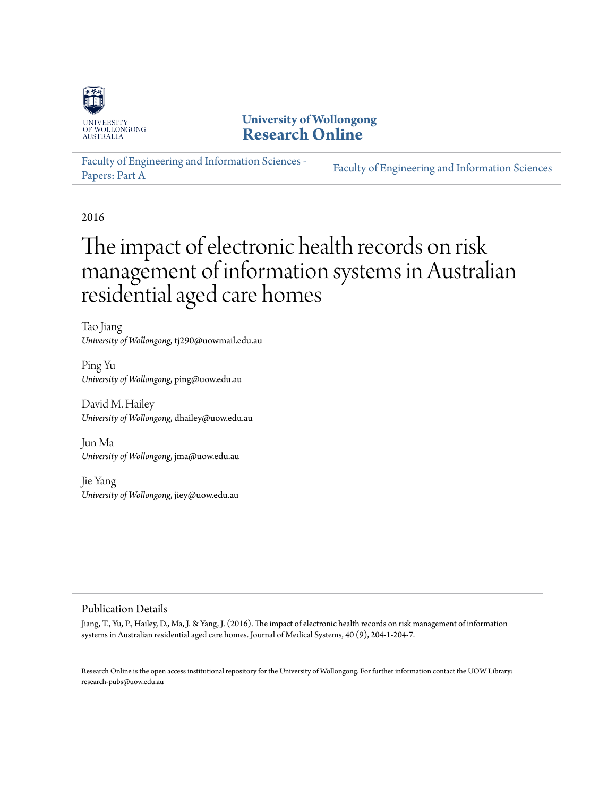

### **University of Wollongong [Research Online](http://ro.uow.edu.au)**

[Faculty of Engineering and Information Sciences -](http://ro.uow.edu.au/eispapers) [Papers: Part A](http://ro.uow.edu.au/eispapers) [Faculty of Engineering and Information Sciences](http://ro.uow.edu.au/eis)

2016

# The impact of electronic health records on risk management of information systems in Australian residential aged care homes

Tao Jiang *University of Wollongong*, tj290@uowmail.edu.au

Ping Yu *University of Wollongong*, ping@uow.edu.au

David M. Hailey *University of Wollongong*, dhailey@uow.edu.au

Jun Ma *University of Wollongong*, jma@uow.edu.au

Jie Yang *University of Wollongong*, jiey@uow.edu.au

#### Publication Details

Jiang, T., Yu, P., Hailey, D., Ma, J. & Yang, J. (2016). The impact of electronic health records on risk management of information systems in Australian residential aged care homes. Journal of Medical Systems, 40 (9), 204-1-204-7.

Research Online is the open access institutional repository for the University of Wollongong. For further information contact the UOW Library: research-pubs@uow.edu.au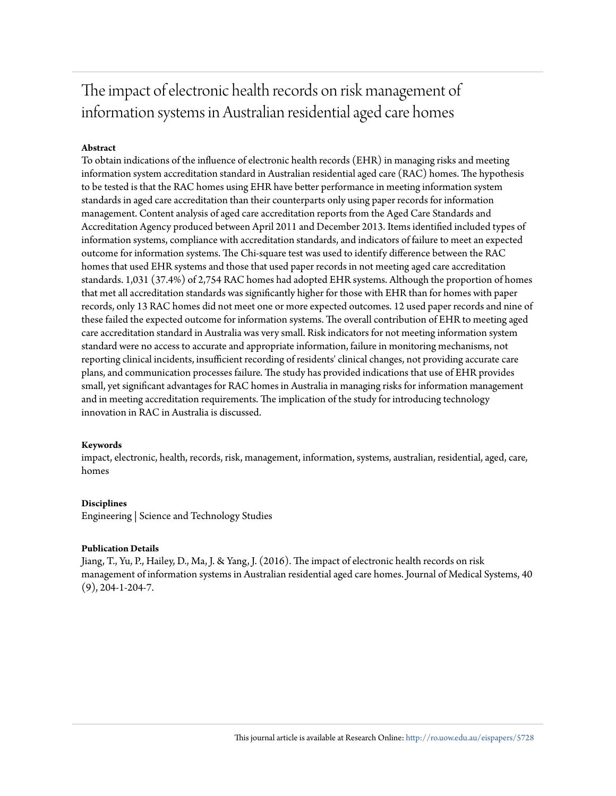## The impact of electronic health records on risk management of information systems in Australian residential aged care homes

#### **Abstract**

To obtain indications of the influence of electronic health records (EHR) in managing risks and meeting information system accreditation standard in Australian residential aged care (RAC) homes. The hypothesis to be tested is that the RAC homes using EHR have better performance in meeting information system standards in aged care accreditation than their counterparts only using paper records for information management. Content analysis of aged care accreditation reports from the Aged Care Standards and Accreditation Agency produced between April 2011 and December 2013. Items identified included types of information systems, compliance with accreditation standards, and indicators of failure to meet an expected outcome for information systems. The Chi-square test was used to identify difference between the RAC homes that used EHR systems and those that used paper records in not meeting aged care accreditation standards. 1,031 (37.4%) of 2,754 RAC homes had adopted EHR systems. Although the proportion of homes that met all accreditation standards was significantly higher for those with EHR than for homes with paper records, only 13 RAC homes did not meet one or more expected outcomes. 12 used paper records and nine of these failed the expected outcome for information systems. The overall contribution of EHR to meeting aged care accreditation standard in Australia was very small. Risk indicators for not meeting information system standard were no access to accurate and appropriate information, failure in monitoring mechanisms, not reporting clinical incidents, insufficient recording of residents' clinical changes, not providing accurate care plans, and communication processes failure. The study has provided indications that use of EHR provides small, yet significant advantages for RAC homes in Australia in managing risks for information management and in meeting accreditation requirements. The implication of the study for introducing technology innovation in RAC in Australia is discussed.

#### **Keywords**

impact, electronic, health, records, risk, management, information, systems, australian, residential, aged, care, homes

#### **Disciplines**

Engineering | Science and Technology Studies

#### **Publication Details**

Jiang, T., Yu, P., Hailey, D., Ma, J. & Yang, J. (2016). The impact of electronic health records on risk management of information systems in Australian residential aged care homes. Journal of Medical Systems, 40  $(9)$ , 204-1-204-7.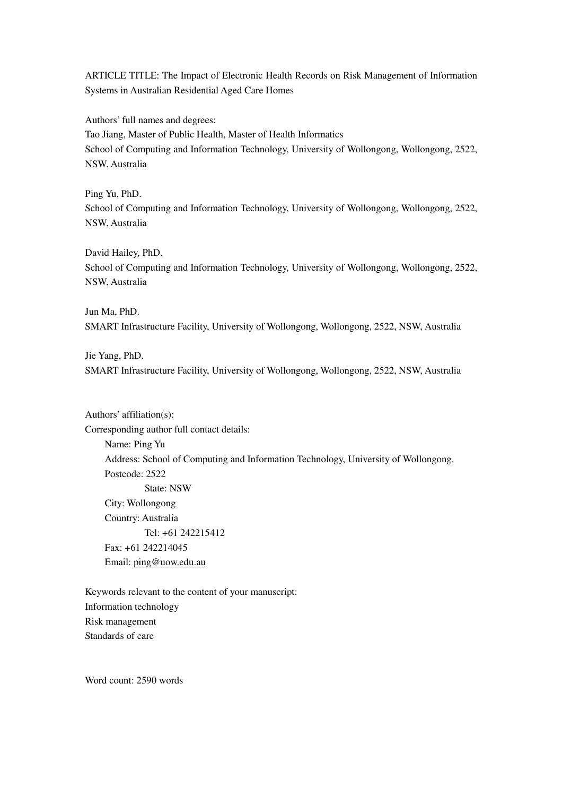ARTICLE TITLE: The Impact of Electronic Health Records on Risk Management of Information Systems in Australian Residential Aged Care Homes

Authors' full names and degrees:

Tao Jiang, Master of Public Health, Master of Health Informatics School of Computing and Information Technology, University of Wollongong, Wollongong, 2522, NSW, Australia

Ping Yu, PhD. School of Computing and Information Technology, University of Wollongong, Wollongong, 2522, NSW, Australia

David Hailey, PhD.

School of Computing and Information Technology, University of Wollongong, Wollongong, 2522, NSW, Australia

Jun Ma, PhD. SMART Infrastructure Facility, University of Wollongong, Wollongong, 2522, NSW, Australia

Jie Yang, PhD.

SMART Infrastructure Facility, University of Wollongong, Wollongong, 2522, NSW, Australia

Authors' affiliation(s):

Corresponding author full contact details: Name: Ping Yu Address: School of Computing and Information Technology, University of Wollongong. Postcode: 2522 State: NSW City: Wollongong Country: Australia Tel: +61 242215412 Fax: +61 242214045 Email: ping@uow.edu.au

Keywords relevant to the content of your manuscript: Information technology Risk management Standards of care

Word count: 2590 words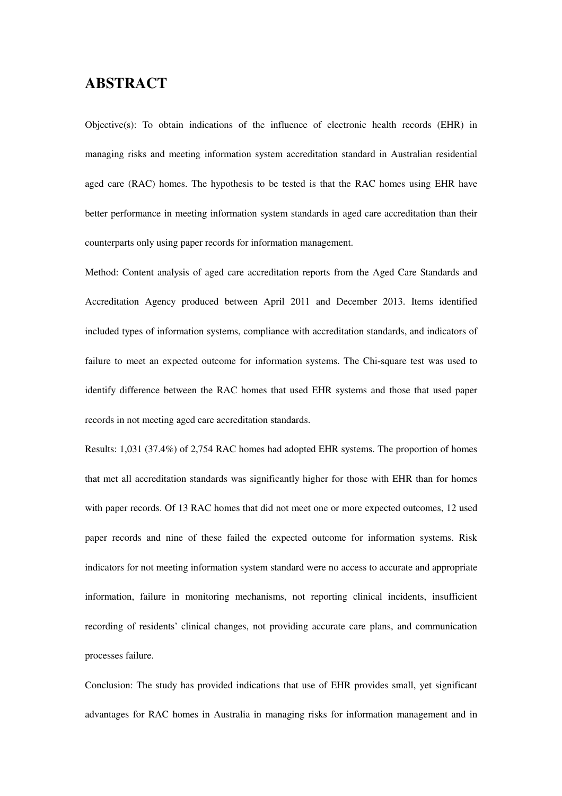### **ABSTRACT**

Objective(s): To obtain indications of the influence of electronic health records (EHR) in managing risks and meeting information system accreditation standard in Australian residential aged care (RAC) homes. The hypothesis to be tested is that the RAC homes using EHR have better performance in meeting information system standards in aged care accreditation than their counterparts only using paper records for information management.

Method: Content analysis of aged care accreditation reports from the Aged Care Standards and Accreditation Agency produced between April 2011 and December 2013. Items identified included types of information systems, compliance with accreditation standards, and indicators of failure to meet an expected outcome for information systems. The Chi-square test was used to identify difference between the RAC homes that used EHR systems and those that used paper records in not meeting aged care accreditation standards.

Results: 1,031 (37.4%) of 2,754 RAC homes had adopted EHR systems. The proportion of homes that met all accreditation standards was significantly higher for those with EHR than for homes with paper records. Of 13 RAC homes that did not meet one or more expected outcomes, 12 used paper records and nine of these failed the expected outcome for information systems. Risk indicators for not meeting information system standard were no access to accurate and appropriate information, failure in monitoring mechanisms, not reporting clinical incidents, insufficient recording of residents' clinical changes, not providing accurate care plans, and communication processes failure.

Conclusion: The study has provided indications that use of EHR provides small, yet significant advantages for RAC homes in Australia in managing risks for information management and in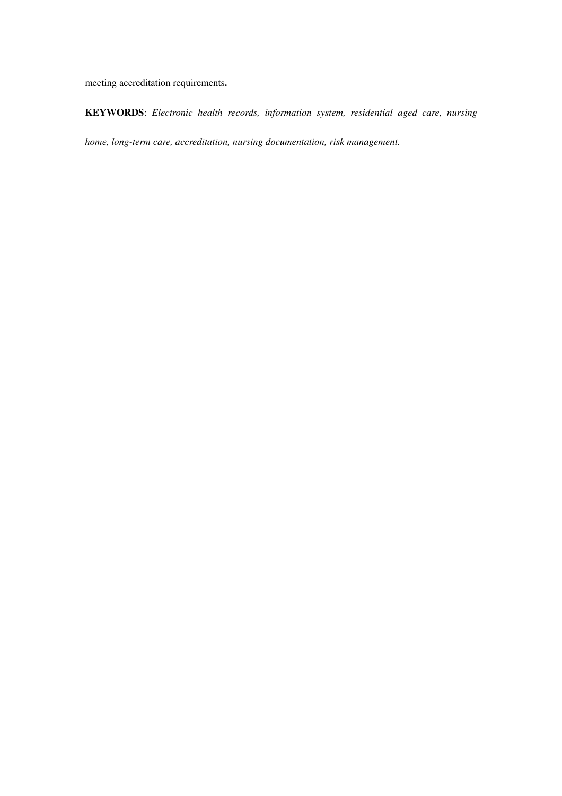meeting accreditation requirements**.** 

**KEYWORDS**: *Electronic health records, information system, residential aged care, nursing home, long-term care, accreditation, nursing documentation, risk management.*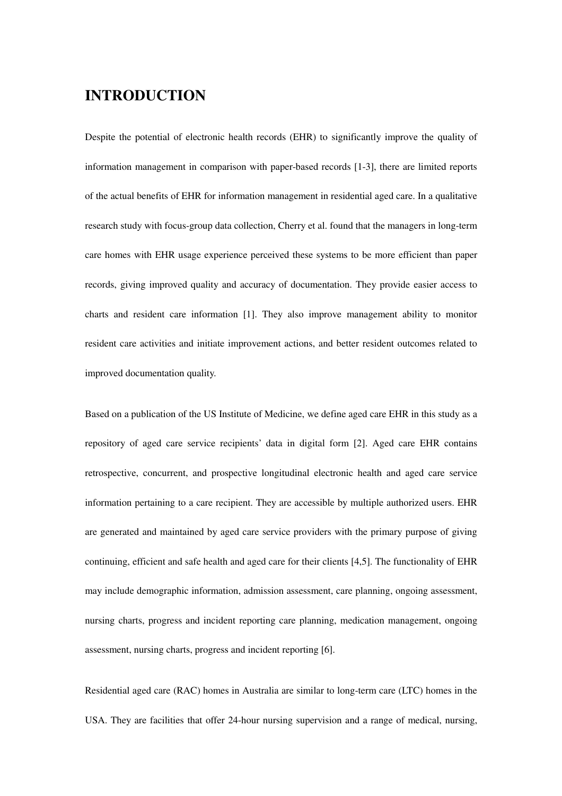### **INTRODUCTION**

Despite the potential of electronic health records (EHR) to significantly improve the quality of information management in comparison with paper-based records [1-3], there are limited reports of the actual benefits of EHR for information management in residential aged care. In a qualitative research study with focus-group data collection, Cherry et al. found that the managers in long-term care homes with EHR usage experience perceived these systems to be more efficient than paper records, giving improved quality and accuracy of documentation. They provide easier access to charts and resident care information [1]. They also improve management ability to monitor resident care activities and initiate improvement actions, and better resident outcomes related to improved documentation quality.

Based on a publication of the US Institute of Medicine, we define aged care EHR in this study as a repository of aged care service recipients' data in digital form [2]. Aged care EHR contains retrospective, concurrent, and prospective longitudinal electronic health and aged care service information pertaining to a care recipient. They are accessible by multiple authorized users. EHR are generated and maintained by aged care service providers with the primary purpose of giving continuing, efficient and safe health and aged care for their clients [4,5]. The functionality of EHR may include demographic information, admission assessment, care planning, ongoing assessment, nursing charts, progress and incident reporting care planning, medication management, ongoing assessment, nursing charts, progress and incident reporting [6].

Residential aged care (RAC) homes in Australia are similar to long-term care (LTC) homes in the USA. They are facilities that offer 24-hour nursing supervision and a range of medical, nursing,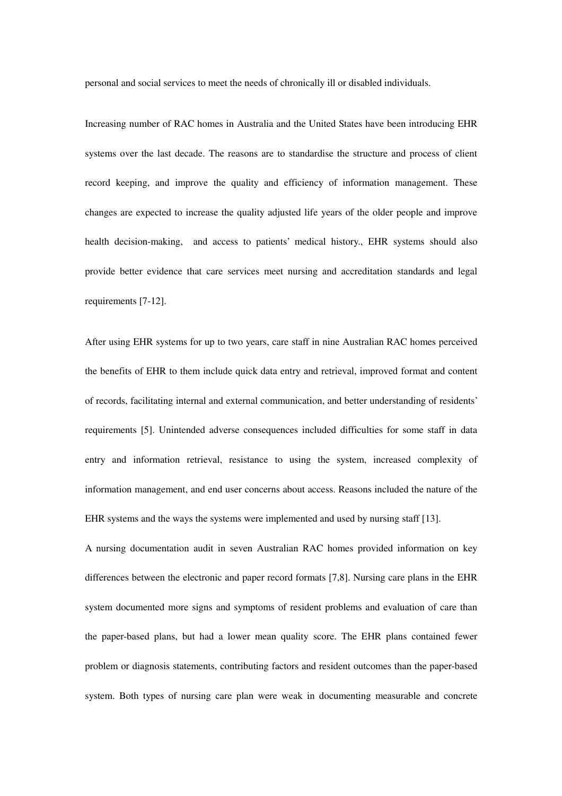personal and social services to meet the needs of chronically ill or disabled individuals.

Increasing number of RAC homes in Australia and the United States have been introducing EHR systems over the last decade. The reasons are to standardise the structure and process of client record keeping, and improve the quality and efficiency of information management. These changes are expected to increase the quality adjusted life years of the older people and improve health decision-making, and access to patients' medical history., EHR systems should also provide better evidence that care services meet nursing and accreditation standards and legal requirements [7-12].

After using EHR systems for up to two years, care staff in nine Australian RAC homes perceived the benefits of EHR to them include quick data entry and retrieval, improved format and content of records, facilitating internal and external communication, and better understanding of residents' requirements [5]. Unintended adverse consequences included difficulties for some staff in data entry and information retrieval, resistance to using the system, increased complexity of information management, and end user concerns about access. Reasons included the nature of the EHR systems and the ways the systems were implemented and used by nursing staff [13].

A nursing documentation audit in seven Australian RAC homes provided information on key differences between the electronic and paper record formats [7,8]. Nursing care plans in the EHR system documented more signs and symptoms of resident problems and evaluation of care than the paper-based plans, but had a lower mean quality score. The EHR plans contained fewer problem or diagnosis statements, contributing factors and resident outcomes than the paper-based system. Both types of nursing care plan were weak in documenting measurable and concrete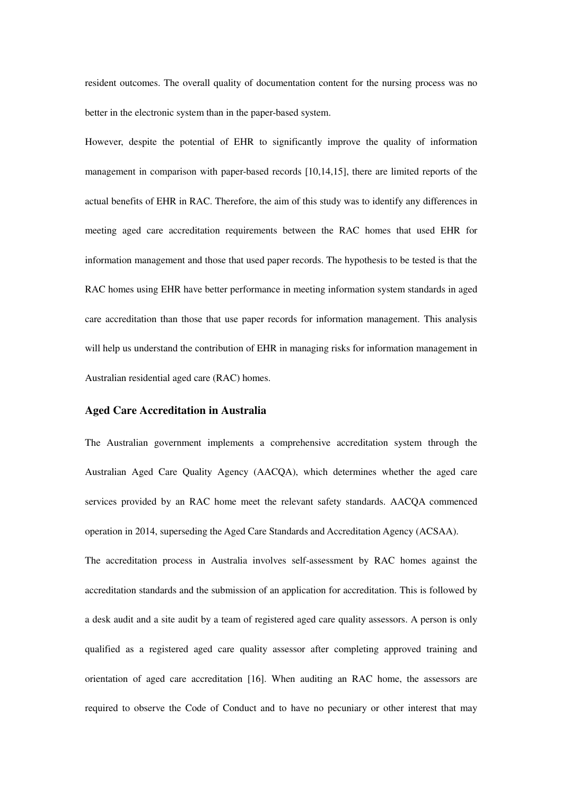resident outcomes. The overall quality of documentation content for the nursing process was no better in the electronic system than in the paper-based system.

However, despite the potential of EHR to significantly improve the quality of information management in comparison with paper-based records [10,14,15], there are limited reports of the actual benefits of EHR in RAC. Therefore, the aim of this study was to identify any differences in meeting aged care accreditation requirements between the RAC homes that used EHR for information management and those that used paper records. The hypothesis to be tested is that the RAC homes using EHR have better performance in meeting information system standards in aged care accreditation than those that use paper records for information management. This analysis will help us understand the contribution of EHR in managing risks for information management in Australian residential aged care (RAC) homes.

#### **Aged Care Accreditation in Australia**

The Australian government implements a comprehensive accreditation system through the Australian Aged Care Quality Agency (AACQA), which determines whether the aged care services provided by an RAC home meet the relevant safety standards. AACQA commenced operation in 2014, superseding the Aged Care Standards and Accreditation Agency (ACSAA).

The accreditation process in Australia involves self-assessment by RAC homes against the accreditation standards and the submission of an application for accreditation. This is followed by a desk audit and a site audit by a team of registered aged care quality assessors. A person is only qualified as a registered aged care quality assessor after completing approved training and orientation of aged care accreditation [16]. When auditing an RAC home, the assessors are required to observe the Code of Conduct and to have no pecuniary or other interest that may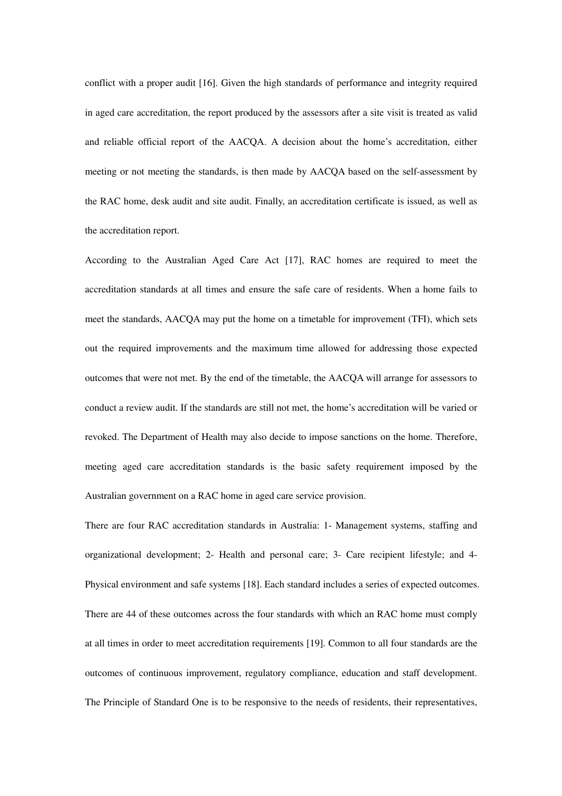conflict with a proper audit [16]. Given the high standards of performance and integrity required in aged care accreditation, the report produced by the assessors after a site visit is treated as valid and reliable official report of the AACQA. A decision about the home's accreditation, either meeting or not meeting the standards, is then made by AACQA based on the self-assessment by the RAC home, desk audit and site audit. Finally, an accreditation certificate is issued, as well as the accreditation report.

According to the Australian Aged Care Act [17], RAC homes are required to meet the accreditation standards at all times and ensure the safe care of residents. When a home fails to meet the standards, AACQA may put the home on a timetable for improvement (TFI), which sets out the required improvements and the maximum time allowed for addressing those expected outcomes that were not met. By the end of the timetable, the AACQA will arrange for assessors to conduct a review audit. If the standards are still not met, the home's accreditation will be varied or revoked. The Department of Health may also decide to impose sanctions on the home. Therefore, meeting aged care accreditation standards is the basic safety requirement imposed by the Australian government on a RAC home in aged care service provision.

There are four RAC accreditation standards in Australia: 1- Management systems, staffing and organizational development; 2- Health and personal care; 3- Care recipient lifestyle; and 4- Physical environment and safe systems [18]. Each standard includes a series of expected outcomes. There are 44 of these outcomes across the four standards with which an RAC home must comply at all times in order to meet accreditation requirements [19]. Common to all four standards are the outcomes of continuous improvement, regulatory compliance, education and staff development. The Principle of Standard One is to be responsive to the needs of residents, their representatives,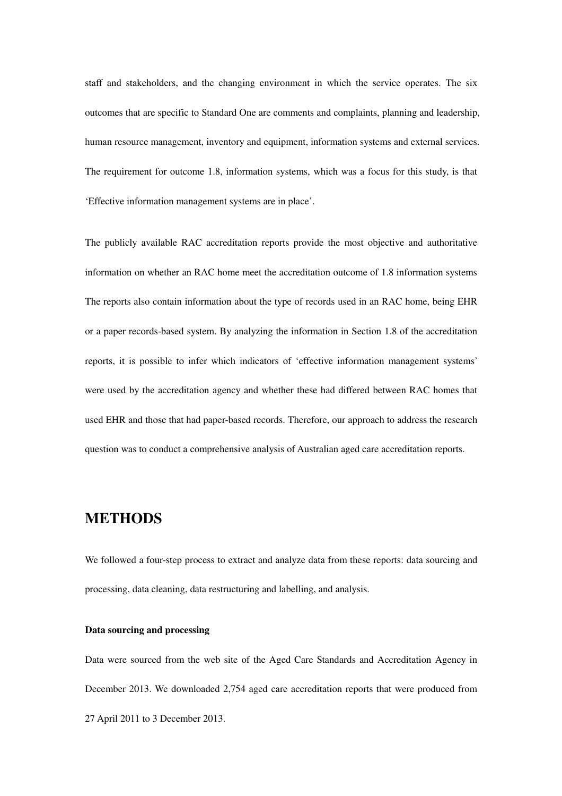staff and stakeholders, and the changing environment in which the service operates. The six outcomes that are specific to Standard One are comments and complaints, planning and leadership, human resource management, inventory and equipment, information systems and external services. The requirement for outcome 1.8, information systems, which was a focus for this study, is that 'Effective information management systems are in place'.

The publicly available RAC accreditation reports provide the most objective and authoritative information on whether an RAC home meet the accreditation outcome of 1.8 information systems The reports also contain information about the type of records used in an RAC home, being EHR or a paper records-based system. By analyzing the information in Section 1.8 of the accreditation reports, it is possible to infer which indicators of 'effective information management systems' were used by the accreditation agency and whether these had differed between RAC homes that used EHR and those that had paper-based records. Therefore, our approach to address the research question was to conduct a comprehensive analysis of Australian aged care accreditation reports.

### **METHODS**

We followed a four-step process to extract and analyze data from these reports: data sourcing and processing, data cleaning, data restructuring and labelling, and analysis.

#### **Data sourcing and processing**

Data were sourced from the web site of the Aged Care Standards and Accreditation Agency in December 2013. We downloaded 2,754 aged care accreditation reports that were produced from 27 April 2011 to 3 December 2013.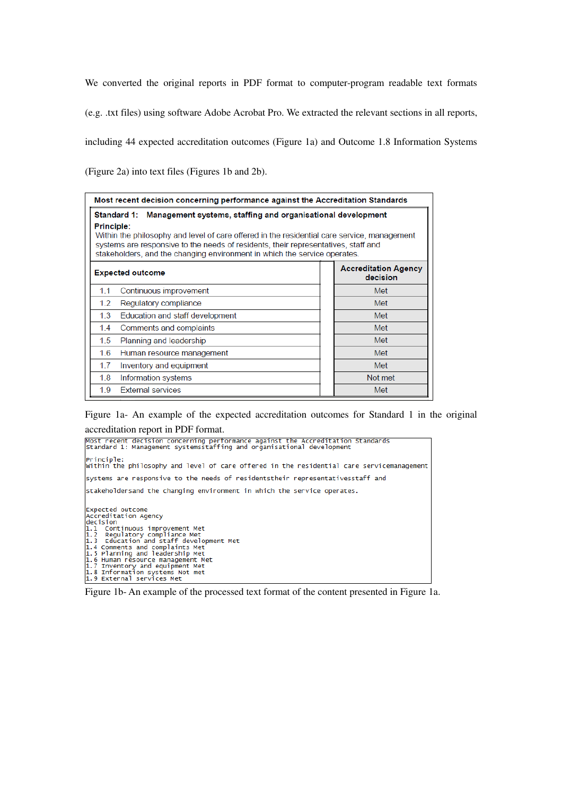We converted the original reports in PDF format to computer-program readable text formats

(e.g. .txt files) using software Adobe Acrobat Pro. We extracted the relevant sections in all reports,

including 44 expected accreditation outcomes (Figure 1a) and Outcome 1.8 Information Systems

(Figure 2a) into text files (Figures 1b and 2b).

| Most recent decision concerning performance against the Accreditation Standards                                                                                                                                                                                                                                                                         |  |                                         |  |  |  |  |  |  |  |  |
|---------------------------------------------------------------------------------------------------------------------------------------------------------------------------------------------------------------------------------------------------------------------------------------------------------------------------------------------------------|--|-----------------------------------------|--|--|--|--|--|--|--|--|
| Standard 1: Management systems, staffing and organisational development<br>Principle:<br>Within the philosophy and level of care offered in the residential care service, management<br>systems are responsive to the needs of residents, their representatives, staff and<br>stakeholders, and the changing environment in which the service operates. |  |                                         |  |  |  |  |  |  |  |  |
| <b>Expected outcome</b>                                                                                                                                                                                                                                                                                                                                 |  | <b>Accreditation Agency</b><br>decision |  |  |  |  |  |  |  |  |
| 1.1<br>Continuous improvement                                                                                                                                                                                                                                                                                                                           |  | Met                                     |  |  |  |  |  |  |  |  |
| 1.2<br>Regulatory compliance                                                                                                                                                                                                                                                                                                                            |  | Met                                     |  |  |  |  |  |  |  |  |
| 1.3<br>Education and staff development                                                                                                                                                                                                                                                                                                                  |  | Met                                     |  |  |  |  |  |  |  |  |
| 1.4<br>Comments and complaints                                                                                                                                                                                                                                                                                                                          |  | Met                                     |  |  |  |  |  |  |  |  |
| 1.5<br>Planning and leadership                                                                                                                                                                                                                                                                                                                          |  | Met                                     |  |  |  |  |  |  |  |  |
| 1.6<br>Human resource management                                                                                                                                                                                                                                                                                                                        |  | Met                                     |  |  |  |  |  |  |  |  |
| 1.7<br>Inventory and equipment                                                                                                                                                                                                                                                                                                                          |  | Met                                     |  |  |  |  |  |  |  |  |
| 1.8<br>Information systems                                                                                                                                                                                                                                                                                                                              |  | Not met                                 |  |  |  |  |  |  |  |  |
| <b>External services</b><br>1.9                                                                                                                                                                                                                                                                                                                         |  | Met                                     |  |  |  |  |  |  |  |  |

Figure 1a- An example of the expected accreditation outcomes for Standard 1 in the original accreditation report in PDF format.

| Most recent decision concerning performance against the Accreditation Standards<br>Standard 1: Management systemsstaffing and organisational development                                                                                                                                                                                                                                |
|-----------------------------------------------------------------------------------------------------------------------------------------------------------------------------------------------------------------------------------------------------------------------------------------------------------------------------------------------------------------------------------------|
| Principle:<br>Within the philosophy and level of care offered in the residential care servicemanagement                                                                                                                                                                                                                                                                                 |
| systems are responsive to the needs of residentstheir representativesstaff and                                                                                                                                                                                                                                                                                                          |
| stakeholdersand the changing environment in which the service operates.                                                                                                                                                                                                                                                                                                                 |
| <b>Expected outcome</b><br>Accreditation Agency<br>decision<br>1.1 Continuous improvement Met<br>1.2 Regulatory compliance Met<br>1.3 Education and staff development Met<br>1.4 Comments and complaints Met<br>1.5 Planning and leadership Met<br>1.6 Human resource management Met<br>1.7 Inventory and equipment Met<br>1.8 Information systems Not met<br>1.9 External services Met |

Figure 1b- An example of the processed text format of the content presented in Figure 1a.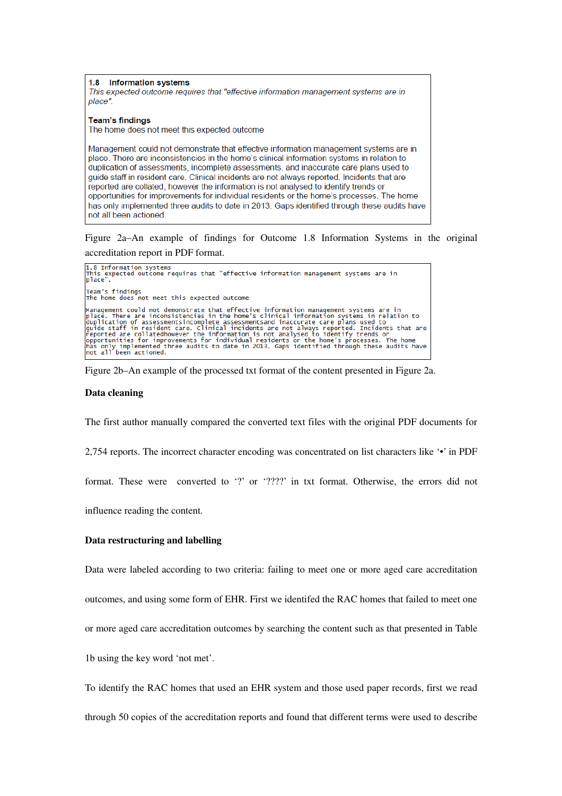1.8 **Information systems** This expected outcome requires that "effective information management systems are in place". **Team's findings** The home does not meet this expected outcome Management could not demonstrate that effective information management systems are in place. There are inconsistencies in the home's clinical information systems in relation to duplication of assessments, incomplete assessments, and inaccurate care plans used to quide staff in resident care. Clinical incidents are not always reported. Incidents that are reported are collated, however the information is not analysed to identify trends or opportunities for improvements for individual residents or the home's processes. The home has only implemented three audits to date in 2013. Gaps identified through these audits have not all been actioned.

Figure 2a–An example of findings for Outcome 1.8 Information Systems in the original accreditation report in PDF format.

```
1.8 Information systems<br>This expected outcome requires that "effective information management systems are in<br>place".
Team's findings<br>The home does not meet this expected outcome
Management could not demonstrate that effective information management systems are in<br>place. There are inconsistencies in the home's clinical information systems in relation to<br>duplication of assessmentsincomplete assessme
has only implemented t<br>has only implemented t<br>not all been actioned.
```
Figure 2b–An example of the processed txt format of the content presented in Figure 2a.

#### **Data cleaning**

The first author manually compared the converted text files with the original PDF documents for

2,754 reports. The incorrect character encoding was concentrated on list characters like '•' in PDF

format. These were converted to '?' or '????' in txt format. Otherwise, the errors did not

influence reading the content.

#### **Data restructuring and labelling**

Data were labeled according to two criteria: failing to meet one or more aged care accreditation

outcomes, and using some form of EHR. First we identifed the RAC homes that failed to meet one

or more aged care accreditation outcomes by searching the content such as that presented in Table

1b using the key word 'not met'.

To identify the RAC homes that used an EHR system and those used paper records, first we read

through 50 copies of the accreditation reports and found that different terms were used to describe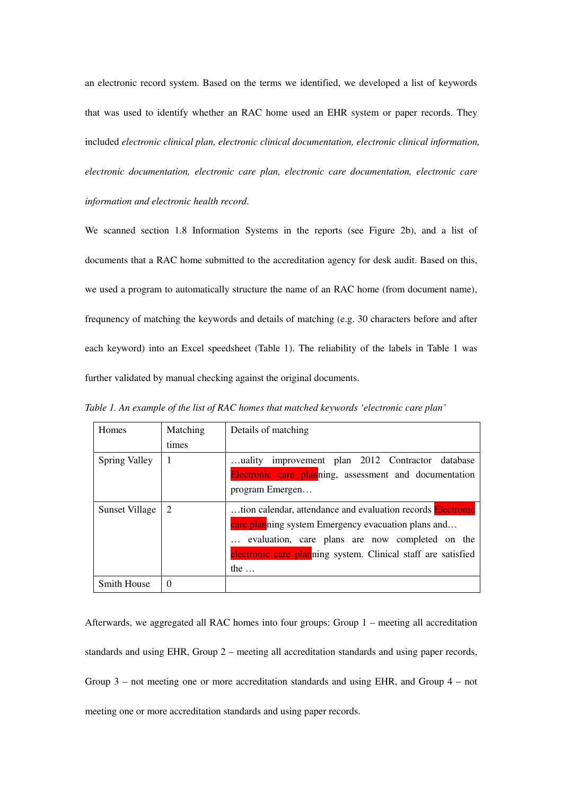an electronic record system. Based on the terms we identified, we developed a list of keywords that was used to identify whether an RAC home used an EHR system or paper records. They included *electronic clinical plan, electronic clinical documentation, electronic clinical information, electronic documentation, electronic care plan, electronic care documentation, electronic care information and electronic health record*.

We scanned section 1.8 Information Systems in the reports (see Figure 2b), and a list of documents that a RAC home submitted to the accreditation agency for desk audit. Based on this, we used a program to automatically structure the name of an RAC home (from document name), frequnency of matching the keywords and details of matching (e.g. 30 characters before and after each keyword) into an Excel speedsheet (Table 1). The reliability of the labels in Table 1 was further validated by manual checking against the original documents.

| Homes                 | Matching | Details of matching                                                |
|-----------------------|----------|--------------------------------------------------------------------|
|                       | times    |                                                                    |
| <b>Spring Valley</b>  | 1        | uality improvement plan 2012 Contractor database                   |
|                       |          | Electronic care planning, assessment and documentation             |
|                       |          | program Emergen                                                    |
| <b>Sunset Village</b> | 2        | tion calendar, attendance and evaluation records <b>Electronic</b> |
|                       |          | care planning system Emergency evacuation plans and                |
|                       |          | evaluation, care plans are now completed on the                    |
|                       |          | electronic care planning system. Clinical staff are satisfied      |
|                       |          | the $\dots$                                                        |
| Smith House           | $\Omega$ |                                                                    |

*Table 1. An example of the list of RAC homes that matched keywords 'electronic care plan'* 

Afterwards, we aggregated all RAC homes into four groups: Group 1 – meeting all accreditation standards and using EHR, Group 2 – meeting all accreditation standards and using paper records, Group 3 – not meeting one or more accreditation standards and using EHR, and Group 4 – not meeting one or more accreditation standards and using paper records.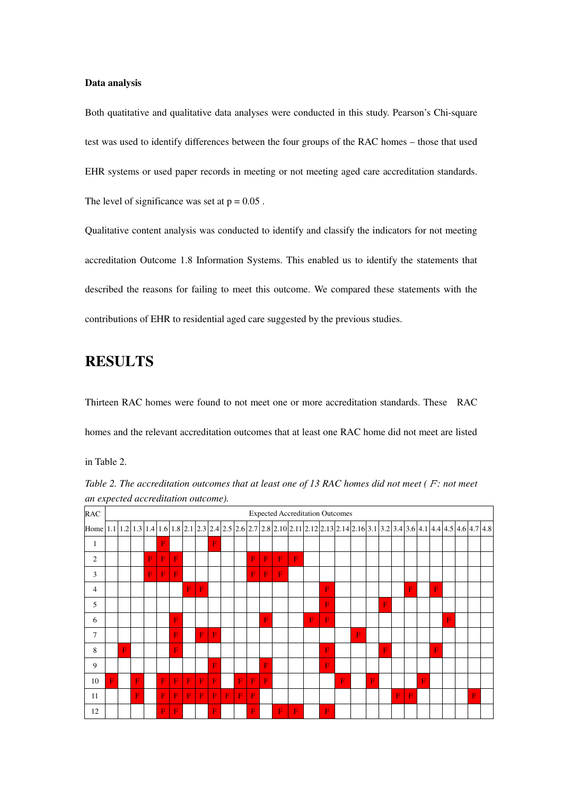#### **Data analysis**

Both quatitative and qualitative data analyses were conducted in this study. Pearson's Chi-square test was used to identify differences between the four groups of the RAC homes – those that used EHR systems or used paper records in meeting or not meeting aged care accreditation standards. The level of significance was set at  $p = 0.05$ .

Qualitative content analysis was conducted to identify and classify the indicators for not meeting accreditation Outcome 1.8 Information Systems. This enabled us to identify the statements that described the reasons for failing to meet this outcome. We compared these statements with the contributions of EHR to residential aged care suggested by the previous studies.

### **RESULTS**

Thirteen RAC homes were found to not meet one or more accreditation standards. These RAC homes and the relevant accreditation outcomes that at least one RAC home did not meet are listed

in Table 2.

*Table 2. The accreditation outcomes that at least one of 13 RAC homes did not meet (F: not meet an expected accreditation outcome).* 

| <b>RAC</b>                                                                                                                     |             |             |   |   |              |   |   |             |              |   |   |             |           |   |             | <b>Expected Accreditation Outcomes</b> |   |   |   |   |   |   |              |           |   |   |   |  |
|--------------------------------------------------------------------------------------------------------------------------------|-------------|-------------|---|---|--------------|---|---|-------------|--------------|---|---|-------------|-----------|---|-------------|----------------------------------------|---|---|---|---|---|---|--------------|-----------|---|---|---|--|
| Home 1.1 1.2 1.3 1.4 1.6 1.8 2.1 2.3 2.4 2.5 2.6 2.7 2.8 2.10 2.11 2.12 2.13 2.14 2.16 3.1 3.2 3.4 3.6 4.1 4.4 4.5 4.6 4.7 4.8 |             |             |   |   |              |   |   |             |              |   |   |             |           |   |             |                                        |   |   |   |   |   |   |              |           |   |   |   |  |
| 1                                                                                                                              |             |             |   |   | F            |   |   |             | F            |   |   |             |           |   |             |                                        |   |   |   |   |   |   |              |           |   |   |   |  |
| $\overline{2}$                                                                                                                 |             |             |   | F | $\mathbf{F}$ | F |   |             |              |   |   | $\mathbf F$ | F         | F | $\mathbf F$ |                                        |   |   |   |   |   |   |              |           |   |   |   |  |
| 3                                                                                                                              |             |             |   | F | $\mathbf{F}$ | F |   |             |              |   |   | $\mathbf F$ | F         | F |             |                                        |   |   |   |   |   |   |              |           |   |   |   |  |
| $\overline{4}$                                                                                                                 |             |             |   |   |              |   | F | $\mathbf F$ |              |   |   |             |           |   |             |                                        | F |   |   |   |   |   | F            |           | F |   |   |  |
| 5                                                                                                                              |             |             |   |   |              |   |   |             |              |   |   |             |           |   |             |                                        | F |   |   |   | F |   |              |           |   |   |   |  |
| 6                                                                                                                              |             |             |   |   |              | F |   |             |              |   |   |             | F         |   |             | F                                      | F |   |   |   |   |   |              |           |   | F |   |  |
| 7                                                                                                                              |             |             |   |   |              | F |   | $\mathbf F$ | $\mathbf{F}$ |   |   |             |           |   |             |                                        |   |   | F |   |   |   |              |           |   |   |   |  |
| 8                                                                                                                              |             | $\mathbf F$ |   |   |              | F |   |             |              |   |   |             |           |   |             |                                        | F |   |   |   | F |   |              |           | F |   |   |  |
| 9                                                                                                                              |             |             |   |   |              |   |   |             | F            |   |   |             | F         |   |             |                                        | F |   |   |   |   |   |              |           |   |   |   |  |
| 10                                                                                                                             | $\mathbf F$ |             | F |   | F            | F | F | $\mathbf F$ | $\mathbf F$  |   | F | $\mathbf F$ | ${\bf F}$ |   |             |                                        |   | F |   | F |   |   |              | ${\bf F}$ |   |   |   |  |
| 11                                                                                                                             |             |             | F |   | $\mathbf F$  | F | F | $\mathbf F$ | F            | F | F | $\mathbf F$ |           |   |             |                                        |   |   |   |   |   | F | $\mathbf{F}$ |           |   |   | F |  |
| 12                                                                                                                             |             |             |   |   | $\mathbf{F}$ | F |   |             | F            |   |   | $\mathbf F$ |           | F | F           |                                        | F |   |   |   |   |   |              |           |   |   |   |  |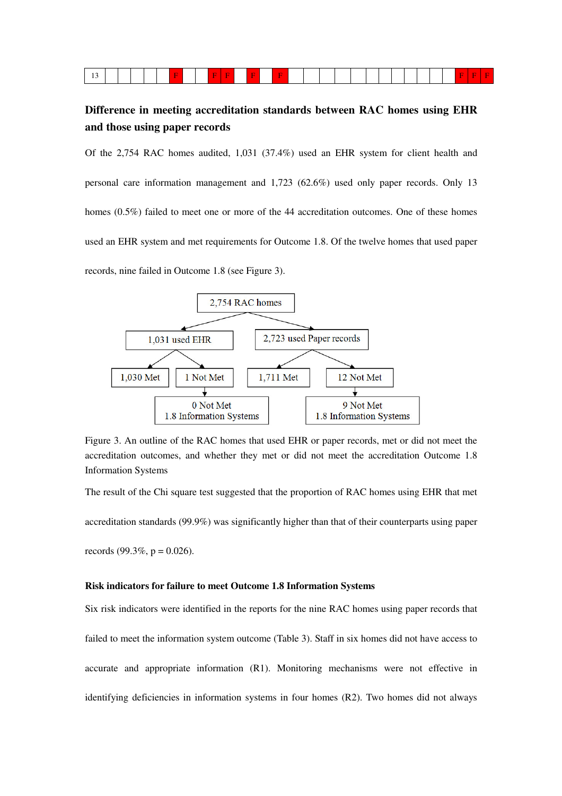|--|--|

### **Difference in meeting accreditation standards between RAC homes using EHR and those using paper records**

Of the 2,754 RAC homes audited, 1,031 (37.4%) used an EHR system for client health and personal care information management and 1,723 (62.6%) used only paper records. Only 13 homes (0.5%) failed to meet one or more of the 44 accreditation outcomes. One of these homes used an EHR system and met requirements for Outcome 1.8. Of the twelve homes that used paper records, nine failed in Outcome 1.8 (see Figure 3).



Figure 3. An outline of the RAC homes that used EHR or paper records, met or did not meet the accreditation outcomes, and whether they met or did not meet the accreditation Outcome 1.8 Information Systems

The result of the Chi square test suggested that the proportion of RAC homes using EHR that met accreditation standards (99.9%) was significantly higher than that of their counterparts using paper records (99.3%,  $p = 0.026$ ).

#### **Risk indicators for failure to meet Outcome 1.8 Information Systems**

Six risk indicators were identified in the reports for the nine RAC homes using paper records that failed to meet the information system outcome (Table 3). Staff in six homes did not have access to accurate and appropriate information (R1). Monitoring mechanisms were not effective in identifying deficiencies in information systems in four homes (R2). Two homes did not always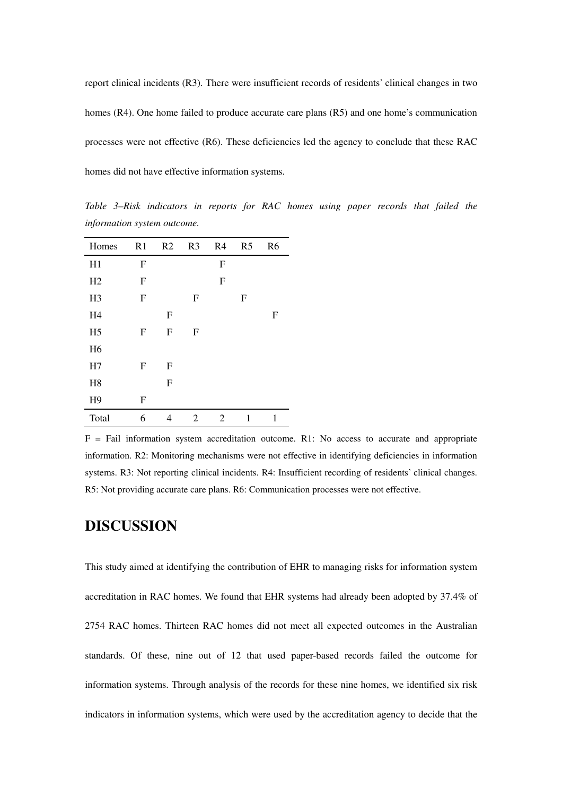report clinical incidents (R3). There were insufficient records of residents' clinical changes in two homes (R4). One home failed to produce accurate care plans (R5) and one home's communication processes were not effective (R6). These deficiencies led the agency to conclude that these RAC homes did not have effective information systems.

*Table 3–Risk indicators in reports for RAC homes using paper records that failed the information system outcome.* 

| Homes          | R1          | R2          | R <sub>3</sub> | R <sub>4</sub> | R <sub>5</sub> | R <sub>6</sub> |
|----------------|-------------|-------------|----------------|----------------|----------------|----------------|
| H1             | $\mathbf F$ |             |                | $\mathbf F$    |                |                |
| H2             | ${\rm F}$   |             |                | $\mathbf F$    |                |                |
| H <sub>3</sub> | ${\rm F}$   |             | $\mathbf F$    |                | F              |                |
| H <sub>4</sub> |             | $\mathbf F$ |                |                |                | F              |
| H <sub>5</sub> | $\mathbf F$ | $\mathbf F$ | F              |                |                |                |
| H <sub>6</sub> |             |             |                |                |                |                |
| H7             | $\mathbf F$ | $\mathbf F$ |                |                |                |                |
| H <sub>8</sub> |             | F           |                |                |                |                |
| H <sub>9</sub> | ${\bf F}$   |             |                |                |                |                |
| Total          | 6           | 4           | 2              | 2              | 1              | 1              |

 $F =$  Fail information system accreditation outcome. R1: No access to accurate and appropriate information. R2: Monitoring mechanisms were not effective in identifying deficiencies in information systems. R3: Not reporting clinical incidents. R4: Insufficient recording of residents' clinical changes. R5: Not providing accurate care plans. R6: Communication processes were not effective.

### **DISCUSSION**

This study aimed at identifying the contribution of EHR to managing risks for information system accreditation in RAC homes. We found that EHR systems had already been adopted by 37.4% of 2754 RAC homes. Thirteen RAC homes did not meet all expected outcomes in the Australian standards. Of these, nine out of 12 that used paper-based records failed the outcome for information systems. Through analysis of the records for these nine homes, we identified six risk indicators in information systems, which were used by the accreditation agency to decide that the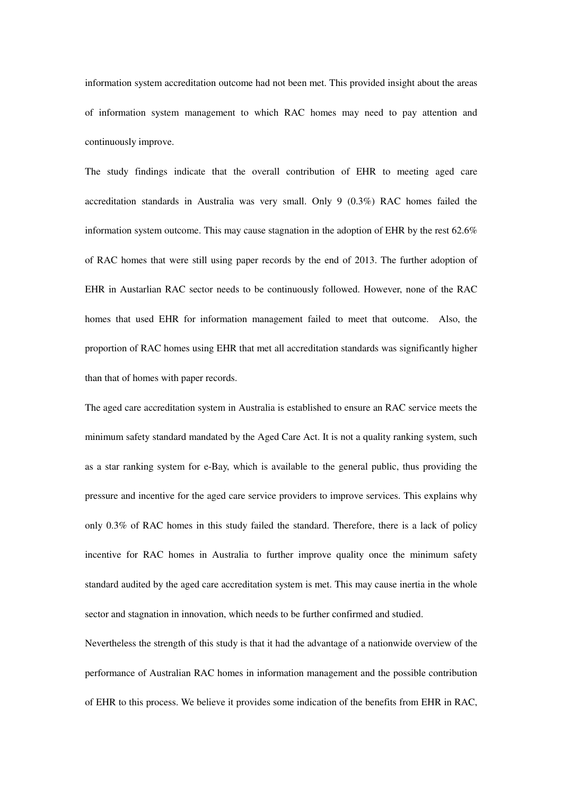information system accreditation outcome had not been met. This provided insight about the areas of information system management to which RAC homes may need to pay attention and continuously improve.

The study findings indicate that the overall contribution of EHR to meeting aged care accreditation standards in Australia was very small. Only 9 (0.3%) RAC homes failed the information system outcome. This may cause stagnation in the adoption of EHR by the rest 62.6% of RAC homes that were still using paper records by the end of 2013. The further adoption of EHR in Austarlian RAC sector needs to be continuously followed. However, none of the RAC homes that used EHR for information management failed to meet that outcome. Also, the proportion of RAC homes using EHR that met all accreditation standards was significantly higher than that of homes with paper records.

The aged care accreditation system in Australia is established to ensure an RAC service meets the minimum safety standard mandated by the Aged Care Act. It is not a quality ranking system, such as a star ranking system for e-Bay, which is available to the general public, thus providing the pressure and incentive for the aged care service providers to improve services. This explains why only 0.3% of RAC homes in this study failed the standard. Therefore, there is a lack of policy incentive for RAC homes in Australia to further improve quality once the minimum safety standard audited by the aged care accreditation system is met. This may cause inertia in the whole sector and stagnation in innovation, which needs to be further confirmed and studied.

Nevertheless the strength of this study is that it had the advantage of a nationwide overview of the performance of Australian RAC homes in information management and the possible contribution of EHR to this process. We believe it provides some indication of the benefits from EHR in RAC,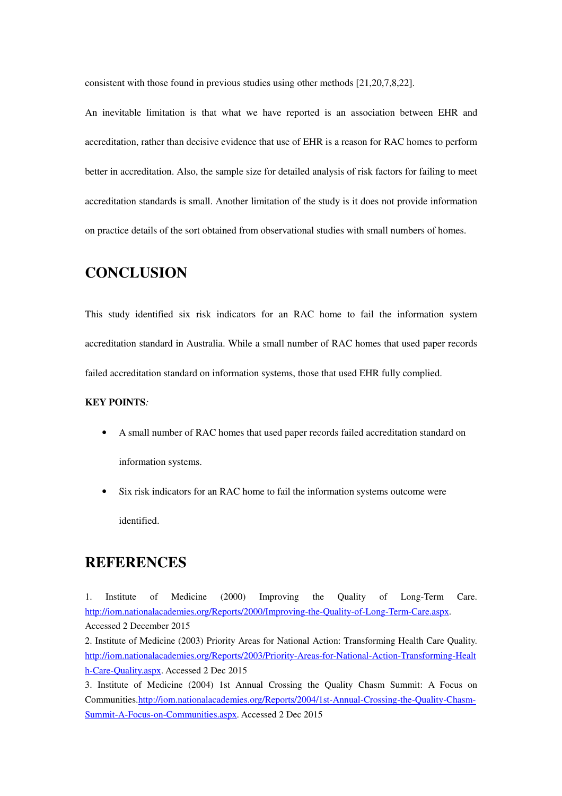consistent with those found in previous studies using other methods [21,20,7,8,22].

An inevitable limitation is that what we have reported is an association between EHR and accreditation, rather than decisive evidence that use of EHR is a reason for RAC homes to perform better in accreditation. Also, the sample size for detailed analysis of risk factors for failing to meet accreditation standards is small. Another limitation of the study is it does not provide information on practice details of the sort obtained from observational studies with small numbers of homes.

### **CONCLUSION**

This study identified six risk indicators for an RAC home to fail the information system accreditation standard in Australia. While a small number of RAC homes that used paper records failed accreditation standard on information systems, those that used EHR fully complied.

#### **KEY POINTS***:*

- A small number of RAC homes that used paper records failed accreditation standard on information systems.
- Six risk indicators for an RAC home to fail the information systems outcome were identified.

### **REFERENCES**

1. Institute of Medicine (2000) Improving the Quality of Long-Term Care. http://iom.nationalacademies.org/Reports/2000/Improving-the-Quality-of-Long-Term-Care.aspx. Accessed 2 December 2015

2. Institute of Medicine (2003) Priority Areas for National Action: Transforming Health Care Quality. http://iom.nationalacademies.org/Reports/2003/Priority-Areas-for-National-Action-Transforming-Healt h-Care-Quality.aspx. Accessed 2 Dec 2015

<sup>3.</sup> Institute of Medicine (2004) 1st Annual Crossing the Quality Chasm Summit: A Focus on Communities.http://iom.nationalacademies.org/Reports/2004/1st-Annual-Crossing-the-Quality-Chasm-Summit-A-Focus-on-Communities.aspx. Accessed 2 Dec 2015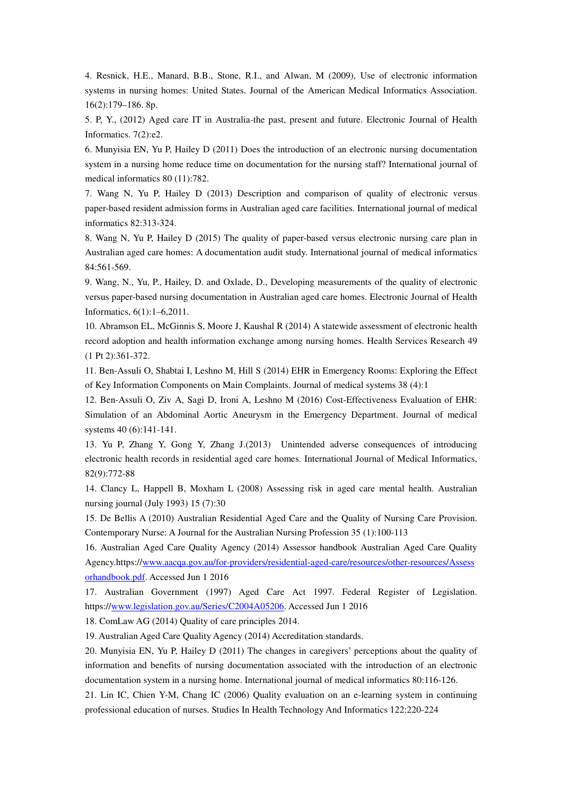4. Resnick, H.E., Manard, B.B., Stone, R.I., and Alwan, M (2009), Use of electronic information systems in nursing homes: United States. Journal of the American Medical Informatics Association. 16(2):179–186. 8p.

5. P, Y., (2012) Aged care IT in Australia-the past, present and future. Electronic Journal of Health Informatics. 7(2):e2.

6. Munyisia EN, Yu P, Hailey D (2011) Does the introduction of an electronic nursing documentation system in a nursing home reduce time on documentation for the nursing staff? International journal of medical informatics 80 (11):782.

7. Wang N, Yu P, Hailey D (2013) Description and comparison of quality of electronic versus paper-based resident admission forms in Australian aged care facilities. International journal of medical informatics 82:313-324.

8. Wang N, Yu P, Hailey D (2015) The quality of paper-based versus electronic nursing care plan in Australian aged care homes: A documentation audit study. International journal of medical informatics 84:561-569.

9. Wang, N., Yu, P., Hailey, D. and Oxlade, D., Developing measurements of the quality of electronic versus paper-based nursing documentation in Australian aged care homes. Electronic Journal of Health Informatics, 6(1):1–6,2011.

10. Abramson EL, McGinnis S, Moore J, Kaushal R (2014) A statewide assessment of electronic health record adoption and health information exchange among nursing homes. Health Services Research 49 (1 Pt 2):361-372.

11. Ben-Assuli O, Shabtai I, Leshno M, Hill S (2014) EHR in Emergency Rooms: Exploring the Effect of Key Information Components on Main Complaints. Journal of medical systems 38 (4):1

12. Ben-Assuli O, Ziv A, Sagi D, Ironi A, Leshno M (2016) Cost-Effectiveness Evaluation of EHR: Simulation of an Abdominal Aortic Aneurysm in the Emergency Department. Journal of medical systems 40 (6):141-141.

13. Yu P, Zhang Y, Gong Y, Zhang J.(2013) Unintended adverse consequences of introducing electronic health records in residential aged care homes. International Journal of Medical Informatics, 82(9):772-88

14. Clancy L, Happell B, Moxham L (2008) Assessing risk in aged care mental health. Australian nursing journal (July 1993) 15 (7):30

15. De Bellis A (2010) Australian Residential Aged Care and the Quality of Nursing Care Provision. Contemporary Nurse: A Journal for the Australian Nursing Profession 35 (1):100-113

16. Australian Aged Care Quality Agency (2014) Assessor handbook Australian Aged Care Quality Agency.https://www.aacqa.gov.au/for-providers/residential-aged-care/resources/other-resources/Assess orhandbook.pdf. Accessed Jun 1 2016

17. Australian Government (1997) Aged Care Act 1997. Federal Register of Legislation. https://www.legislation.gov.au/Series/C2004A05206. Accessed Jun 1 2016

18. ComLaw AG (2014) Quality of care principles 2014.

19. Australian Aged Care Quality Agency (2014) Accreditation standards.

20. Munyisia EN, Yu P, Hailey D (2011) The changes in caregivers' perceptions about the quality of information and benefits of nursing documentation associated with the introduction of an electronic documentation system in a nursing home. International journal of medical informatics 80:116-126.

21. Lin IC, Chien Y-M, Chang IC (2006) Quality evaluation on an e-learning system in continuing professional education of nurses. Studies In Health Technology And Informatics 122:220-224